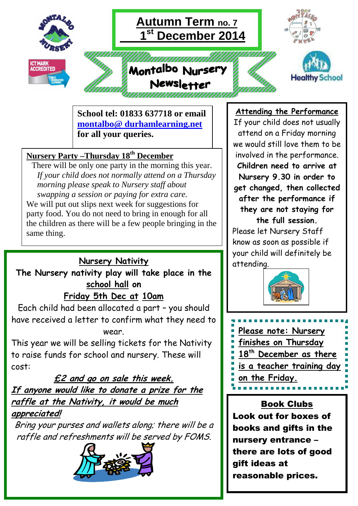

 **School tel: 01833 637718 or email montalbo@ durhamlearning.net for all your queries.** 

# **Nursery Party –Thursday 18th December**

 There will be only one party in the morning this year. *If your child does not normally attend on a Thursday morning please speak to Nursery staff about swapping a session or paying for extra care.* We will put out slips next week for suggestions for party food. You do not need to bring in enough for all the children as there will be a few people bringing in the same thing.

# **Nursery Nativity**

# **The Nursery nativity play will take place in the school hall on**

# **Friday 5th Dec at 10am**

Each child had been allocated a part – you should have received a letter to confirm what they need to wear.

This year we will be selling tickets for the Nativity to raise funds for school and nursery. These will cost:

# **£2 and go on sale this week. If anyone would like to donate a prize for the raffle at the Nativity, it would be much appreciated!**

Bring your purses and wallets along; there will be a raffle and refreshments will be served by FOMS.



#### **Attending the Performance**

If your child does not usually attend on a Friday morning we would still love them to be involved in the performance. **Children need to arrive at Nursery 9.30 in order to get changed, then collected after the performance if they are not staying for the full session.**  Please let Nursery Staff know as soon as possible if

your child will definitely be attending.





Book Clubs Look out for boxes of books and gifts in the nursery entrance – there are lots of good gift ideas at reasonable prices.